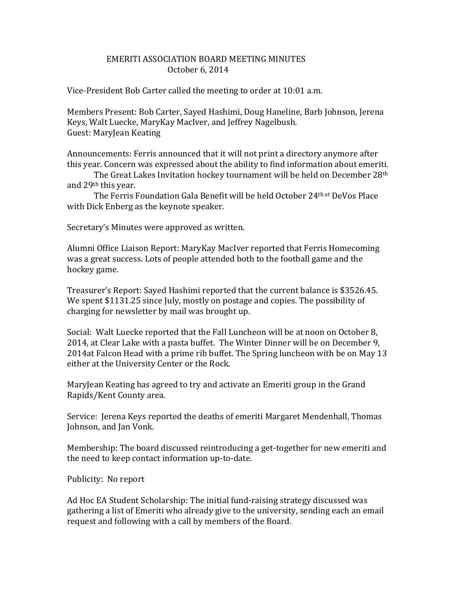## EMERITI ASSOCIATION BOARD MEETING MINUTES October 6, 2014

Vice-President Bob Carter called the meeting to order at 10:01 a.m.

Members Present: Bob Carter, Sayed Hashimi, Doug Haneline, Barb Johnson, Jerena Keys, Walt Luecke, MaryKay MacIver, and Jeffrey Nagelbush. Guest: MaryJean Keating

Announcements: Ferris announced that it will not print a directory anymore after this year. Concern was expressed about the ability to find information about emeriti.

The Great Lakes Invitation hockey tournament will be held on December 28th and 29th this year.

The Ferris Foundation Gala Benefit will be held October 24th at DeVos Place with Dick Enberg as the keynote speaker.

Secretary's Minutes were approved as written.

Alumni Office Liaison Report: MaryKay MacIver reported that Ferris Homecoming was a great success. Lots of people attended both to the football game and the hockey game.

Treasurer's Report: Sayed Hashimi reported that the current balance is \$3526.45. We spent \$1131.25 since July, mostly on postage and copies. The possibility of charging for newsletter by mail was brought up.

Social: Walt Luecke reported that the Fall Luncheon will be at noon on October 8, 2014, at Clear Lake with a pasta buffet. The Winter Dinner will be on December 9, 2014at Falcon Head with a prime rib buffet. The Spring luncheon with be on May 13 either at the University Center or the Rock.

MaryJean Keating has agreed to try and activate an Emeriti group in the Grand Rapids/Kent County area.

Service: Jerena Keys reported the deaths of emeriti Margaret Mendenhall, Thomas Johnson, and Jan Vonk.

Membership: The board discussed reintroducing a get-together for new emeriti and the need to keep contact information up-to-date.

Publicity: No report

Ad Hoc EA Student Scholarship: The initial fund-raising strategy discussed was gathering a list of Emeriti who already give to the university, sending each an email request and following with a call by members of the Board.